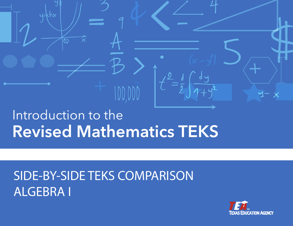# Introduction to the **Revised Mathematics TEKS**

 $y=kh$ 

# SIDE-BY-SIDE TEKS COMPARISON ALGEBRA I

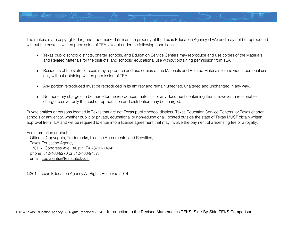

The materials are copyrighted (c) and trademarked (tm) as the property of the Texas Education Agency (TEA) and may not be reproduced without the express written permission of TEA, except under the following conditions:

- Texas public school districts, charter schools, and Education Service Centers may reproduce and use copies of the Materials and Related Materials for the districts' and schools' educational use without obtaining permission from TEA.
- Residents of the state of Texas may reproduce and use copies of the Materials and Related Materials for individual personal use only without obtaining written permission of TEA.
- Any portion reproduced must be reproduced in its entirety and remain unedited, unaltered and unchanged in any way.
- No monetary charge can be made for the reproduced materials or any document containing them; however, a reasonable charge to cover only the cost of reproduction and distribution may be charged.

Private entities or persons located in Texas that are not Texas public school districts, Texas Education Service Centers, or Texas charter schools or any entity, whether public or private, educational or non-educational, located outside the state of Texas MUST obtain written approval from TEA and will be required to enter into a license agreement that may involve the payment of a licensing fee or a royalty.

For information contact: Office of Copyrights, Trademarks, License Agreements, and Royalties, Texas Education Agency, 1701 N. Congress Ave., Austin, TX 78701-1494; phone: 512-463-9270 or 512-463-9437; email: copyrights@tea.state.tx.us.

©2014 Texas Education Agency All Rights Reserved 2014.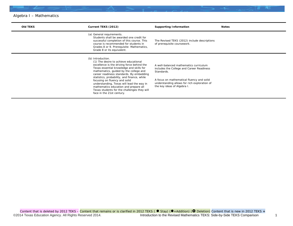| <b>Old TEKS</b> | Current TEKS (2012)                                                                                                                                                                                                                                                                                                                                                                                                                                                                          | <b>Supporting Information</b>                                                                                                                                                                                                 | <b>Notes</b> |
|-----------------|----------------------------------------------------------------------------------------------------------------------------------------------------------------------------------------------------------------------------------------------------------------------------------------------------------------------------------------------------------------------------------------------------------------------------------------------------------------------------------------------|-------------------------------------------------------------------------------------------------------------------------------------------------------------------------------------------------------------------------------|--------------|
|                 | (a) General requirements.<br>Students shall be awarded one credit for<br>successful completion of this course. This<br>course is recommended for students in<br>Grades 8 or 9. Prerequisite: Mathematics,<br>Grade 8 or its equivalent.                                                                                                                                                                                                                                                      | The Revised TEKS (2012) include descriptions<br>of prerequisite coursework.                                                                                                                                                   |              |
|                 | (b) Introduction.<br>(1) The desire to achieve educational<br>excellence is the driving force behind the<br>Texas essential knowledge and skills for<br>mathematics, guided by the college and<br>career readiness standards. By embedding<br>statistics, probability, and finance, while<br>focusing on fluency and solid<br>understanding, Texas will lead the way in<br>mathematics education and prepare all<br>Texas students for the challenges they will<br>face in the 21st century. | A well-balanced mathematics curriculum<br>includes the College and Career Readiness<br>Standards.<br>A focus on mathematical fluency and solid<br>understanding allows for rich exploration of<br>the key ideas of Algebra I. |              |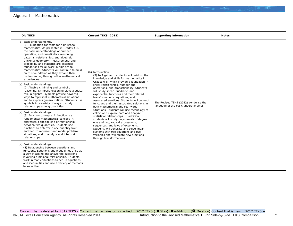| <b>Old TEKS</b>                                                                                                                                                                                                                                                                                                                                                                                                                                                                                                                   | Current TEKS (2012)                                                                                                                                                                                                                                                                                                                                                                                                                                                                                                                                                                                                                                                                                                                                                                              | <b>Supporting Information</b>                                                 | <b>Notes</b> |
|-----------------------------------------------------------------------------------------------------------------------------------------------------------------------------------------------------------------------------------------------------------------------------------------------------------------------------------------------------------------------------------------------------------------------------------------------------------------------------------------------------------------------------------|--------------------------------------------------------------------------------------------------------------------------------------------------------------------------------------------------------------------------------------------------------------------------------------------------------------------------------------------------------------------------------------------------------------------------------------------------------------------------------------------------------------------------------------------------------------------------------------------------------------------------------------------------------------------------------------------------------------------------------------------------------------------------------------------------|-------------------------------------------------------------------------------|--------------|
| (a) Basic understandings.<br>(1) Foundation concepts for high school<br>mathematics. As presented in Grades K-8,<br>the basic understandings of number,<br>operation, and quantitative reasoning;<br>patterns, relationships, and algebraic<br>thinking; geometry; measurement; and<br>probability and statistics are essential<br>foundations for all work in high school<br>mathematics. Students will continue to build<br>on this foundation as they expand their<br>understanding through other mathematical<br>experiences. | (b) Introduction<br>(3) In Algebra I, students will build on the<br>knowledge and skills for mathematics in                                                                                                                                                                                                                                                                                                                                                                                                                                                                                                                                                                                                                                                                                      |                                                                               |              |
| (a) Basic understandings.<br>(2) Algebraic thinking and symbolic<br>reasoning. Symbolic reasoning plays a critical<br>role in algebra; symbols provide powerful<br>ways to represent mathematical situations<br>and to express generalizations. Students use<br>symbols in a variety of ways to study<br>relationships among quantities.                                                                                                                                                                                          | Grades 6-8, which provide a foundation in<br>linear relationships, number and<br>operations, and proportionality. Students<br>will study linear, quadratic, and<br>exponential functions and their related<br>transformations, equations, and<br>associated solutions. Students will connect<br>functions and their associated solutions in<br>both mathematical and real-world<br>situations. Students will use technology to<br>collect and explore data and analyze<br>statistical relationships. In addition,<br>students will study polynomials of degree<br>one and two, radical expressions,<br>sequences, and laws of exponents.<br>Students will generate and solve linear<br>systems with two equations and two<br>variables and will create new functions<br>through transformations. | The Revised TEKS (2012) condense the<br>language of the basic understandings. |              |
| (a) Basic understandings.<br>(3) Function concepts. A function is a<br>fundamental mathematical concept; it<br>expresses a special kind of relationship<br>between two quantities. Students use<br>functions to determine one quantity from<br>another, to represent and model problem<br>situations, and to analyze and interpret<br>relationships.                                                                                                                                                                              |                                                                                                                                                                                                                                                                                                                                                                                                                                                                                                                                                                                                                                                                                                                                                                                                  |                                                                               |              |
| (a) Basic understandings.<br>(4) Relationship between equations and<br>functions. Equations and inequalities arise as<br>a way of asking and answering questions<br>involving functional relationships. Students<br>work in many situations to set up equations<br>and inequalities and use a variety of methods<br>to solve them.                                                                                                                                                                                                |                                                                                                                                                                                                                                                                                                                                                                                                                                                                                                                                                                                                                                                                                                                                                                                                  |                                                                               |              |
|                                                                                                                                                                                                                                                                                                                                                                                                                                                                                                                                   |                                                                                                                                                                                                                                                                                                                                                                                                                                                                                                                                                                                                                                                                                                                                                                                                  |                                                                               |              |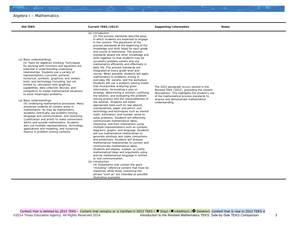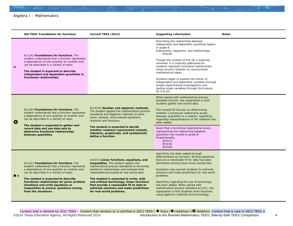|              | <b>Old TEKS: Foundations for functions</b>                                                                                                                                                                                                                                                                                                                                        | Current TEKS (2012)                                                                                                                                                                                                                                                                                                                                                                                                                     | <b>Supporting Information</b>                                                                                                                                                                                                                                                                                                                                                                                                                                                                                                                                            | <b>Notes</b> |
|--------------|-----------------------------------------------------------------------------------------------------------------------------------------------------------------------------------------------------------------------------------------------------------------------------------------------------------------------------------------------------------------------------------|-----------------------------------------------------------------------------------------------------------------------------------------------------------------------------------------------------------------------------------------------------------------------------------------------------------------------------------------------------------------------------------------------------------------------------------------|--------------------------------------------------------------------------------------------------------------------------------------------------------------------------------------------------------------------------------------------------------------------------------------------------------------------------------------------------------------------------------------------------------------------------------------------------------------------------------------------------------------------------------------------------------------------------|--------------|
|              | $A(1)(A)$ Foundations for functions. The<br>student understands that a function represents<br>a dependence of one quantity on another and<br>can be described in a variety of ways.<br>The student is expected to describe<br>independent and dependent quantities in<br>functional relationships.                                                                                |                                                                                                                                                                                                                                                                                                                                                                                                                                         | Describing the relationship between<br>independent and dependent quantities begins<br>in grade 6:<br>Expressions, equations, and relationships<br>6(6)(B)<br>Though the content of this SE is explicitly<br>removed, it is implicitly addressed as<br>students represent functional relationships<br>using function notation to communicate<br>mathematical ideas.<br>Students begin to explore the notion of<br>independent and dependent variables through<br>simple experimental investigations and<br>testing single variables through the science<br>SE $5(2)(A)$ . |              |
| $\mathbf{o}$ | $A(1)(B)$ <b>Foundations for functions.</b> The<br>student understands that a function represents<br>a dependence of one quantity on another and<br>can be described in a variety of ways.<br>The student is expected to gather and<br>record data and use data sets to<br>determine functional relationships<br>between quantities.                                              | A(12)(A) Number and algebraic methods.<br>The student applies the mathematical process<br>standards and algebraic methods to write,<br>solve, analyze, and evaluate equations,<br>relations and functions.<br>The student is expected to decide<br>whether relations represented verbally,<br>tabularly, graphically, and symbolically<br>define a function.                                                                            | When paired with mathematical process<br>standard A(1)(A), the expectation is that<br>students gather and record data.<br>The revised SE focuses on determining<br>whether a functional relationship exists<br>between quantities in a relation. Specificity<br>regarding representations of the relations has<br>been added.<br>Given that a functional relationship exists,<br>representing the relationship between<br>quantities has moved to grade 8:<br>Proportionality<br>8(4)(C)<br>8(5)(A)<br>8(5)(B)                                                           |              |
| $\bullet$ +  | $A(1)(C)$ Foundations for functions. The<br>student understands that a function represents<br>a dependence of one quantity on another and<br>can be described in a variety of ways.<br>The student is expected to describe<br>functional relationships for given problem<br>situations and write equations or<br>inequalities to answer questions arising<br>from the situations. | $A(4)(C)$ Linear functions, equations, and<br>inequalities. The student applies the<br>mathematical process standards to formulate<br>statistical relationships and evaluate their<br>reasonableness based on real-world data.<br>The student is expected to write, with<br>and without technology, linear functions<br>that provide a reasonable fit to data to<br>estimate solutions and make predictions<br>for real-world problems. | Specificity has been added through<br>differentiation by function. Writing equations<br>that are a reasonable fit for data has been<br>distributed among these three revised SEs.<br>Questions may prompt students to estimate<br>solutions and make predictions for real-world<br>problems.<br>Specificity regarding the use of technology<br>has been added. When paired with<br>mathematical process standard A(1)(C), the<br>expectation is that students write functions<br>using algebraic methods and technology.                                                 |              |

Content that is deleted by 2012 TEKS – Content that remains or is clarified in 2012 TEKS ( ● Stay) (●+Addition) ( ● Deletion) Content that is new in 2012 TEKS + ©2014 Texas Education Agency. All Rights Reserved 2014. **Introduction to the Revised Mathematics TEKS:** Side-by-Side TEKS Comparison 4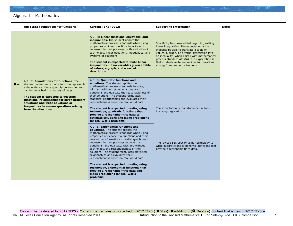|             | <b>Old TEKS: Foundations for functions</b>                                                                                                                                                                                                                                                                                                                                        | Current TEKS (2012)                                                                                                                                                                                                                                                                                                                                                                                                                                                                                                                                                                                                                                                      | <b>Supporting Information</b>                                                                                                                                                                                                                                                                                                                                                      | <b>Notes</b> |
|-------------|-----------------------------------------------------------------------------------------------------------------------------------------------------------------------------------------------------------------------------------------------------------------------------------------------------------------------------------------------------------------------------------|--------------------------------------------------------------------------------------------------------------------------------------------------------------------------------------------------------------------------------------------------------------------------------------------------------------------------------------------------------------------------------------------------------------------------------------------------------------------------------------------------------------------------------------------------------------------------------------------------------------------------------------------------------------------------|------------------------------------------------------------------------------------------------------------------------------------------------------------------------------------------------------------------------------------------------------------------------------------------------------------------------------------------------------------------------------------|--------------|
|             |                                                                                                                                                                                                                                                                                                                                                                                   | $A(2)(H)$ Linear functions, equations, and<br>inequalities. The student applies the<br>mathematical process standards when using<br>properties of linear functions to write and<br>represent in multiple ways, with and without<br>technology, linear equations, inequalities, and<br>systems of equations.<br>The student is expected to write linear<br>inequalities in two variables given a table<br>of values, a graph, and a verbal<br>description.                                                                                                                                                                                                                | Specificity has been added regarding writing<br>linear inequalities. The expectation is that<br>students be able to translate a table of<br>values, a graph, or a verbal description into<br>an inequality. When paired with mathematical<br>process standard $A(1)(A)$ , the expectation is<br>that students write inequalities for questions<br>arising from problem situations. |              |
| $\bullet$ + | $A(1)(C)$ Foundations for functions. The<br>student understands that a function represents<br>a dependence of one quantity on another and<br>can be described in a variety of ways.<br>The student is expected to describe<br>functional relationships for given problem<br>situations and write equations or<br>inequalities to answer questions arising<br>from the situations. | $A(8)(B)$ Quadratic functions and<br>equations. The student applies the<br>mathematical process standards to solve,<br>with and without technology, quadratic<br>equations and evaluate the reasonableness of<br>their solutions. The student formulates<br>statistical relationships and evaluates their<br>reasonableness based on real-world data.<br>The student is expected to write, using<br>technology, quadratic functions that<br>provide a reasonable fit to data to<br>estimate solutions and make predictions<br>for real-world problems.                                                                                                                   | The expectation is that students use tools<br>involving regression.                                                                                                                                                                                                                                                                                                                |              |
|             |                                                                                                                                                                                                                                                                                                                                                                                   | $A(9)(E)$ Exponential functions and<br>equations. The student applies the<br>mathematical process standards when using<br>properties of exponential functions and their<br>related transformations to write, graph, and<br>represent in multiple ways exponential<br>equations, and evaluate, with and without<br>technology, the reasonableness of their<br>solutions. The student formulates statistical<br>relationships and evaluates their<br>reasonableness based on real-world data.<br>The student is expected to write, using<br>technology, exponential functions that<br>provide a reasonable fit to data and<br>make predictions for real-world<br>problems. | The revised SEs specify using technology to<br>write quadratic and exponential functions that<br>provide a reasonable fit to data.                                                                                                                                                                                                                                                 |              |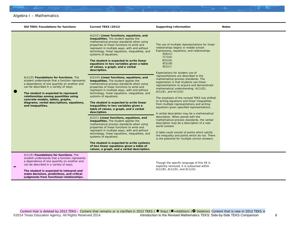|           | <b>Old TEKS: Foundations for functions</b>                                                                                                                                                                                                                                                                                                                                | Current TEKS (2012)                                                                                                                                                                                                                                                                                                                                                                                                                                                                                                                                                                                                                                                                                                                                                                                                                                                                                                                                                                                                                                                                                                                                                                                                                                                                                                                                                    | <b>Supporting Information</b>                                                                                                                                                                                                                                                                                                                                                                                                                                                                                                                                                                                                                                                                                                                                                                                                                                                                                                                                                                                                | <b>Notes</b> |
|-----------|---------------------------------------------------------------------------------------------------------------------------------------------------------------------------------------------------------------------------------------------------------------------------------------------------------------------------------------------------------------------------|------------------------------------------------------------------------------------------------------------------------------------------------------------------------------------------------------------------------------------------------------------------------------------------------------------------------------------------------------------------------------------------------------------------------------------------------------------------------------------------------------------------------------------------------------------------------------------------------------------------------------------------------------------------------------------------------------------------------------------------------------------------------------------------------------------------------------------------------------------------------------------------------------------------------------------------------------------------------------------------------------------------------------------------------------------------------------------------------------------------------------------------------------------------------------------------------------------------------------------------------------------------------------------------------------------------------------------------------------------------------|------------------------------------------------------------------------------------------------------------------------------------------------------------------------------------------------------------------------------------------------------------------------------------------------------------------------------------------------------------------------------------------------------------------------------------------------------------------------------------------------------------------------------------------------------------------------------------------------------------------------------------------------------------------------------------------------------------------------------------------------------------------------------------------------------------------------------------------------------------------------------------------------------------------------------------------------------------------------------------------------------------------------------|--------------|
| $\bullet$ | $A(1)(D)$ Foundations for functions. The<br>student understands that a function represents<br>a dependence of one quantity on another and<br>can be described in a variety of ways.<br>The student is expected to represent<br>relationships among quantities using<br>concrete models, tables, graphs,<br>diagrams, verbal descriptions, equations,<br>and inequalities. | $A(2)(C)$ Linear functions, equations, and<br>inequalities. The student applies the<br>mathematical process standards when using<br>properties of linear functions to write and<br>represent in multiple ways, with and without<br>technology, linear equations, inequalities, and<br>systems of equations.<br>The student is expected to write linear<br>equations in two variables given a table<br>of values, a graph, and a verbal<br>description.<br>$A(2)(H)$ Linear functions, equations, and<br>inequalities. The student applies the<br>mathematical process standards when using<br>properties of linear functions to write and<br>represent in multiple ways, with and without<br>technology, linear equations, inequalities, and<br>systems of equations.<br>The student is expected to write linear<br>inequalities in two variables given a<br>table of values, a graph, and a verbal<br>description.<br>A(2)(1) Linear functions, equations, and<br>inequalities. The student applies the<br>mathematical process standards when using<br>properties of linear functions to write and<br>represent in multiple ways, with and without<br>technology, linear equations, inequalities, and<br>systems of equations.<br>The student is expected to write systems<br>of two linear equations given a table of<br>values, a graph, and a verbal description. | The use of multiple representations for linear<br>relationships begins in middle school:<br>Expressions, equations, and relationships<br>6(6)(C)<br>7(7)(A)<br>8(5)(A)<br>8(5)(B)<br>8(5)(1)<br>Expectations for student use of<br>representations are described in the<br>mathematical process standards. The<br>expectation is that students use these<br>representations to acquire and demonstrate<br>mathematical understanding: A(1)(D),<br>$A(1)(E)$ , and $A(1)(G)$<br>The emphasis of the revised TEKS has shifted<br>to writing equations and linear inequalities<br>from multiple representations and writing<br>equations given specified representations.<br>A verbal description may be a mathematical<br>description. When paired with the<br>mathematical process standards, the verbal<br>description may be a description of a real-<br>world context.<br>A table could consist of points which satisfy<br>the inequality and points which do not. There<br>is the potential for multiple correct answers. |              |
|           | $A(1)(E)$ Foundations for functions. The<br>student understands that a function represents<br>a dependence of one quantity on another and<br>can be described in a variety of ways.<br>The student is expected to interpret and<br>make decisions, predictions, and critical<br>judgments from functional relationships.                                                  |                                                                                                                                                                                                                                                                                                                                                                                                                                                                                                                                                                                                                                                                                                                                                                                                                                                                                                                                                                                                                                                                                                                                                                                                                                                                                                                                                                        | Though the specific language of this SE is<br>explicitly removed, it is subsumed within<br>$A(1)(B)$ , $A(1)(D)$ , and $A(1)(G)$ .                                                                                                                                                                                                                                                                                                                                                                                                                                                                                                                                                                                                                                                                                                                                                                                                                                                                                           |              |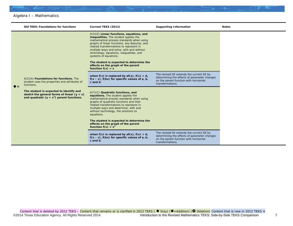|             | <b>Old TEKS: Foundations for functions</b>                                                                                               | Current TEKS (2012)                                                                                                                                                                                                                                                                                                                                                                                                                                     | <b>Supporting Information</b>                                                                                                                          | <b>Notes</b> |
|-------------|------------------------------------------------------------------------------------------------------------------------------------------|---------------------------------------------------------------------------------------------------------------------------------------------------------------------------------------------------------------------------------------------------------------------------------------------------------------------------------------------------------------------------------------------------------------------------------------------------------|--------------------------------------------------------------------------------------------------------------------------------------------------------|--------------|
| $\bullet$ + |                                                                                                                                          | $A(3)(E)$ Linear functions, equations, and<br>inequalities. The student applies the<br>mathematical process standards when using<br>graphs of linear functions, key features, and<br>related transformations to represent in<br>multiple ways and solve, with and without<br>technology, equations, inequalities, and<br>systems of equations.<br>The student is expected to determine the<br>effects on the graph of the parent<br>function $f(x) = x$ |                                                                                                                                                        |              |
|             | A(2)(A) Foundations for functions. The<br>student uses the properties and attributes of<br>functions.                                    | when $f(x)$ is replaced by $af(x)$ , $f(x) + d$ ,<br>$f(x - c)$ , $f(bx)$ for specific values of a, b,<br>$c$ and $d$ .                                                                                                                                                                                                                                                                                                                                 | The revised SE extends the current SE by<br>determining the effects of parameter changes<br>on the parent function with horizontal<br>transformations. |              |
|             | The student is expected to identify and<br>sketch the general forms of linear $(y = x)$<br>and quadratic ( $y = x^2$ ) parent functions. | A(7)(C) Quadratic functions, and<br>equations. The student applies the<br>mathematical process standards when using<br>graphs of quadratic functions and their<br>related transformations to represent in<br>multiple ways and determine, with and<br>without technology, the solutions to<br>equations.                                                                                                                                                |                                                                                                                                                        |              |
|             |                                                                                                                                          | The student is expected to determine the<br>effects on the graph of the parent<br>function $f(x) = x^2$                                                                                                                                                                                                                                                                                                                                                 |                                                                                                                                                        |              |
|             |                                                                                                                                          | when $f(x)$ is replaced by $af(x)$ , $f(x) + d$ ,<br>$f(x - c)$ , $f(bx)$ for specific values of a, b,<br>$c$ and $d$ .                                                                                                                                                                                                                                                                                                                                 | The revised SE extends the current SE by<br>determining the effects of parameter changes<br>on the parent function with horizontal<br>transformations. |              |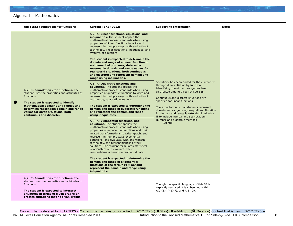|           | <b>Old TEKS: Foundations for functions</b>                                                                                                                                                                                                                                                      | Current TEKS (2012)                                                                                                                                                                                                                                                                                                                                                                                                                                                                                                                                                                                                                                                                                                                                                                                                                                                                                                                                                                                                                                                                                                                                                                                                                                                                                                                                                                                                                                                                                                                                                                                                                                                                                     | <b>Supporting Information</b>                                                                                                                                                                                                                                                                                                                                                                                                                                                             | <b>Notes</b> |
|-----------|-------------------------------------------------------------------------------------------------------------------------------------------------------------------------------------------------------------------------------------------------------------------------------------------------|---------------------------------------------------------------------------------------------------------------------------------------------------------------------------------------------------------------------------------------------------------------------------------------------------------------------------------------------------------------------------------------------------------------------------------------------------------------------------------------------------------------------------------------------------------------------------------------------------------------------------------------------------------------------------------------------------------------------------------------------------------------------------------------------------------------------------------------------------------------------------------------------------------------------------------------------------------------------------------------------------------------------------------------------------------------------------------------------------------------------------------------------------------------------------------------------------------------------------------------------------------------------------------------------------------------------------------------------------------------------------------------------------------------------------------------------------------------------------------------------------------------------------------------------------------------------------------------------------------------------------------------------------------------------------------------------------------|-------------------------------------------------------------------------------------------------------------------------------------------------------------------------------------------------------------------------------------------------------------------------------------------------------------------------------------------------------------------------------------------------------------------------------------------------------------------------------------------|--------------|
| $\bullet$ | $A(2)(B)$ Foundations for functions. The<br>student uses the properties and attributes of<br>functions.<br>The student is expected to identify<br>mathematical domains and ranges and<br>determine reasonable domain and range<br>values for given situations, both<br>continuous and discrete. | $A(2)(A)$ Linear functions, equations, and<br>inequalities. The student applies the<br>mathematical process standards when using<br>properties of linear functions to write and<br>represent in multiple ways, with and without<br>technology, linear equations, inequalities, and<br>systems of equations.<br>The student is expected to determine the<br>domain and range of a linear function in<br>mathematical problems; determine<br>reasonable domain and range values for<br>real-world situations, both continuous<br>and discrete; and represent domain and<br>range using inequalities.<br>$A(6)(A)$ Quadratic functions and<br>equations. The student applies the<br>mathematical process standards when using<br>properties of quadratic functions to write and<br>represent in multiple ways, with and without<br>technology, quadratic equations.<br>The student is expected to determine the<br>domain and range of quadratic functions<br>and represent the domain and range<br>using inequalities.<br>$A(9)(A)$ Exponential functions, and<br>equations. The student applies the<br>mathematical process standards when using<br>properties of exponential functions and their<br>related transformations to write, graph, and<br>represent in multiple ways exponential<br>equations, and evaluate, with and without<br>technology, the reasonableness of their<br>solutions. The student formulates statistical<br>relationships and evaluates their<br>reasonableness based on real-world data.<br>The student is expected to determine the<br>domain and range of exponential<br>functions of the form $f(x) = ab^x$ and<br>represent the domain and range using<br>inequalities. | Specificity has been added for the current SE<br>through differentiation by function.<br>Identifying domain and range has been<br>distributed among three revised SEs.<br>Continuous and discrete situations are<br>specified for linear functions.<br>The expectation is that students represent<br>domain and range using inequalities. Notation<br>for domain and range is extended in Algebra<br>II to include interval and set notation:<br>Number and algebraic methods<br>2A(7)(1) |              |
|           | $A(2)(C)$ Foundations for functions. The<br>student uses the properties and attributes of<br>functions.<br>The student is expected to interpret<br>situations in terms of given graphs or<br>creates situations that fit given graphs.                                                          |                                                                                                                                                                                                                                                                                                                                                                                                                                                                                                                                                                                                                                                                                                                                                                                                                                                                                                                                                                                                                                                                                                                                                                                                                                                                                                                                                                                                                                                                                                                                                                                                                                                                                                         | Though the specific language of this SE is<br>explicitly removed, it is subsumed within<br>$A(1)(E)$ , $A(1)(F)$ , and $A(1)(G)$ .                                                                                                                                                                                                                                                                                                                                                        |              |

©2014 Texas Education Agency. All Rights Reserved 2014. **Introduction to the Revised Mathematics TEKS:** Side-by-Side TEKS Comparison 8

Content that is deleted by 2012 TEKS – Content that remains or is clarified in 2012 TEKS ( ● Stay) (●+Addition) ( ● Deletion) Content that is new in 2012 TEKS +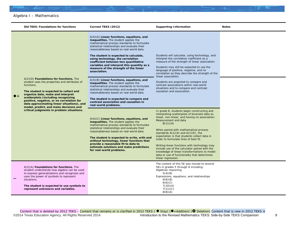|             | <b>Old TEKS: Foundations for functions</b>                                                                                                                                                                                                                                                                                                                                                                      | Current TEKS (2012)                                                                                                                                                                                                                                                                                                                                                                                                                                                                                                                                                                                                                                                                                                                                                                                                                                                                                                                                                                                                                                                                                                                                                                                                                                 | <b>Supporting Information</b>                                                                                                                                                                                                                                                                                                                                                                                                                                                                                                                                                                                                                                                                                                                                                                                                                                                                                                                                                                                                                                          | <b>Notes</b> |
|-------------|-----------------------------------------------------------------------------------------------------------------------------------------------------------------------------------------------------------------------------------------------------------------------------------------------------------------------------------------------------------------------------------------------------------------|-----------------------------------------------------------------------------------------------------------------------------------------------------------------------------------------------------------------------------------------------------------------------------------------------------------------------------------------------------------------------------------------------------------------------------------------------------------------------------------------------------------------------------------------------------------------------------------------------------------------------------------------------------------------------------------------------------------------------------------------------------------------------------------------------------------------------------------------------------------------------------------------------------------------------------------------------------------------------------------------------------------------------------------------------------------------------------------------------------------------------------------------------------------------------------------------------------------------------------------------------------|------------------------------------------------------------------------------------------------------------------------------------------------------------------------------------------------------------------------------------------------------------------------------------------------------------------------------------------------------------------------------------------------------------------------------------------------------------------------------------------------------------------------------------------------------------------------------------------------------------------------------------------------------------------------------------------------------------------------------------------------------------------------------------------------------------------------------------------------------------------------------------------------------------------------------------------------------------------------------------------------------------------------------------------------------------------------|--------------|
| $\bullet$ + | $A(2)(D)$ Foundations for functions. The<br>student uses the properties and attributes of<br>functions.<br>The student is expected to collect and<br>organize data, make and interpret<br>scatterplots (including recognizing<br>positive, negative, or no correlation for<br>data approximating linear situations), and<br>model, predict, and make decisions and<br>critical judgments in problem situations. | $A(4)(A)$ Linear functions, equations, and<br>inequalities. The student applies the<br>mathematical process standards to formulate<br>statistical relationships and evaluate their<br>reasonableness based on real-world data.<br>The student is expected to calculate,<br>using technology, the correlation<br>coefficient between two quantitative<br>variables and interpret this quantity as a<br>measure of the strength of the linear<br>association.<br>$A(4)(B)$ Linear functions, equations, and<br>inequalities. The student applies the<br>mathematical process standards to formulate<br>statistical relationships and evaluate their<br>reasonableness based on real-world data.<br>The student is expected to compare and<br>contrast association and causation in<br>real-world problems.<br>$A(4)(C)$ Linear functions, equations, and<br>inequalities. The student applies the<br>mathematical process standards to formulate<br>statistical relationships and evaluate their<br>reasonableness based on real-world data.<br>The student is expected to write, with and<br>without technology, linear functions that<br>provide a reasonable fit to data to<br>estimate solutions and make predictions<br>for real-world problems. | Students will calculate, using technology, and<br>interpret the correlation coefficient as a<br>measure of the strength of linear association.<br>Students may still be expected to use the<br>language of positive, negative, and no<br>correlation as they describe the strength of the<br>linear association.<br>Students are expected to compare and<br>contrast associations within real-world<br>situations and to compare and contrast<br>causation and association.<br>In grade 8, students begin constructing and<br>interpreting scatterplots of bivariate data as<br>linear, non-linear, and having no association:<br>Measurement and data<br>8(11)(A)<br>When paired with mathematical process<br>standards $A(1)(A)$ and $A(1)(E)$ , the<br>expectation is that students collect data in<br>order to formulate lines of best fit.<br>Writing linear functions with technology may<br>include use of the calculator paired with the<br>knowledge of linear transformations to model<br>data or use of functionality that determines<br>linear regression. |              |
|             | A(3)(A) Foundations for functions. The<br>student understands how algebra can be used<br>to express generalizations and recognizes and<br>uses the power of symbols to represent<br>situations.<br>The student is expected to use symbols to<br>represent unknowns and variables.                                                                                                                               |                                                                                                                                                                                                                                                                                                                                                                                                                                                                                                                                                                                                                                                                                                                                                                                                                                                                                                                                                                                                                                                                                                                                                                                                                                                     | The content of this SE was moved to several<br>SEs in grades 5 through 8 including:<br>Algebraic reasoning<br>5(4)(B)<br>Expressions, equations, and relationships<br>6(6)(B)<br>6(6)(C)<br>7(10)(A)<br>7(11)(C)<br>8(8)(A)                                                                                                                                                                                                                                                                                                                                                                                                                                                                                                                                                                                                                                                                                                                                                                                                                                            |              |

Content that is deleted by 2012 TEKS – Content that remains or is clarified in 2012 TEKS ( ● Stay) (●+Addition) ( ● Deletion) Content that is new in 2012 TEKS + ©2014 Texas Education Agency. All Rights Reserved 2014. **Introduction to the Revised Mathematics TEKS:** Side-by-Side TEKS Comparison 9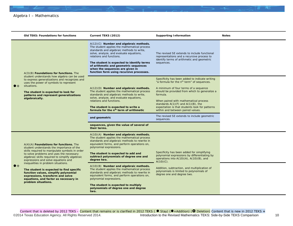|             | <b>Old TEKS: Foundations for functions</b>                                                                                                                                                                                                                                                                                                                                                                                                                                                                   | Current TEKS (2012)                                                                                                                                                                                                                                                                                                                                                                                                                                                                                                                                                                                                              | <b>Supporting Information</b>                                                                                                                                                                                                                                                                                                                                                                                                                          | <b>Notes</b> |
|-------------|--------------------------------------------------------------------------------------------------------------------------------------------------------------------------------------------------------------------------------------------------------------------------------------------------------------------------------------------------------------------------------------------------------------------------------------------------------------------------------------------------------------|----------------------------------------------------------------------------------------------------------------------------------------------------------------------------------------------------------------------------------------------------------------------------------------------------------------------------------------------------------------------------------------------------------------------------------------------------------------------------------------------------------------------------------------------------------------------------------------------------------------------------------|--------------------------------------------------------------------------------------------------------------------------------------------------------------------------------------------------------------------------------------------------------------------------------------------------------------------------------------------------------------------------------------------------------------------------------------------------------|--------------|
|             | A(3)(B) Foundations for functions. The<br>student understands how algebra can be used<br>to express generalizations and recognizes and<br>uses the power of symbols to represent<br>situations.<br>The student is expected to look for<br>patterns and represent generalizations<br>algebraically.                                                                                                                                                                                                           | $A(12)(C)$ Number and algebraic methods.<br>The student applies the mathematical process<br>standards and algebraic methods to write,<br>solve, analyze, and evaluate equations,<br>relations and functions.<br>The student is expected to identify terms<br>of arithmetic and geometric sequences<br>when the sequences are given in<br>function form using recursive processes.                                                                                                                                                                                                                                                | The revised SE extends to include functional<br>representations and a recursive process to<br>identify terms of arithmetic and geometric<br>sequences.                                                                                                                                                                                                                                                                                                 |              |
|             |                                                                                                                                                                                                                                                                                                                                                                                                                                                                                                              | A(12)(D) Number and algebraic methods.<br>The student applies the mathematical process<br>standards and algebraic methods to write,<br>solve, analyze, and evaluate equations,<br>relations and functions.<br>The student is expected to write a<br>formula for the $nth$ term of arithmetic<br>and geometric<br>sequences, given the value of several of<br>their terms.                                                                                                                                                                                                                                                        | Specificity has been added to indicate writing<br>"a formula for the n <sup>th</sup> term" of sequences.<br>A minimum of four terms of a sequence<br>should be provided from which to generalize a<br>formula.<br>When paired with mathematical process<br>standards $A(1)(F)$ and $A(1)(B)$ , the<br>expectation is that students look for patterns<br>within and between paired values.<br>The revised SE extends to include geometric<br>sequences. |              |
| $\bullet$ + | $A(4)(A)$ Foundations for functions. The<br>student understands the importance of the<br>skills required to manipulate symbols in order<br>to solve problems and uses the necessary<br>algebraic skills required to simplify algebraic<br>expressions and solve equations and<br>inequalities in problem situations.<br>The student is expected to find specific<br>function values, simplify polynomial<br>expressions, transform and solve<br>equations, and factor as necessary in<br>problem situations. | $A(10)(A)$ Number and algebraic methods.<br>The student applies the mathematical process<br>standards and algebraic methods to rewrite in<br>equivalent forms, and perform operations on,<br>polynomial expressions.<br>The student is expected to add and<br>subtract polynomials of degree one and<br>degree two.<br>A(10)(B) Number and algebraic methods.<br>The student applies the mathematical process<br>standards and algebraic methods to rewrite in<br>equivalent forms, and perform operations on,<br>polynomial expressions.<br>The student is expected to multiply<br>polynomials of degree one and degree<br>two. | Specificity has been added for simplifying<br>polynomial expressions by differentiating by<br>operations into $A(10)(A)$ , $A(10)(B)$ , and<br>$A(10)(C)$ .<br>Addition, subtraction, and multiplication of<br>polynomials is limited to polynomials of<br>degree one and degree two.                                                                                                                                                                  |              |

Content that is deleted by 2012 TEKS – Content that remains or is clarified in 2012 TEKS ( ● Stay) (●+Addition) ( ● Deletion) Content that is new in 2012 TEKS + ©2014 Texas Education Agency. All Rights Reserved 2014. Introduction to the Revised Mathematics TEKS: Side-by-Side TEKS Comparison 10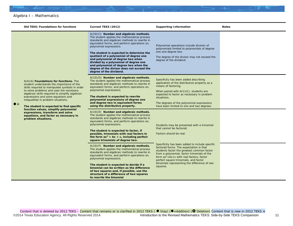|             | <b>Old TEKS: Foundations for functions</b>                                                                                                                                                                                                                                                                                                                                                                                                                                                                          | Current TEKS (2012)                                                                                                                                                                                                                                                                                                                                                                                                                                                                                     | <b>Supporting Information</b>                                                                                                                                                                                                                                                                                                                 | <b>Notes</b> |
|-------------|---------------------------------------------------------------------------------------------------------------------------------------------------------------------------------------------------------------------------------------------------------------------------------------------------------------------------------------------------------------------------------------------------------------------------------------------------------------------------------------------------------------------|---------------------------------------------------------------------------------------------------------------------------------------------------------------------------------------------------------------------------------------------------------------------------------------------------------------------------------------------------------------------------------------------------------------------------------------------------------------------------------------------------------|-----------------------------------------------------------------------------------------------------------------------------------------------------------------------------------------------------------------------------------------------------------------------------------------------------------------------------------------------|--------------|
|             | $A(4)(A)$ <b>Foundations for functions.</b> The<br>student understands the importance of the<br>skills required to manipulate symbols in order<br>to solve problems and uses the necessary<br>algebraic skills required to simplify algebraic<br>expressions and solve equations and<br>inequalities in problem situations.<br>The student is expected to find specific<br>function values, simplify polynomial<br>expressions, transform and solve<br>equations, and factor as necessary in<br>problem situations. | A(10)(C) Number and algebraic methods.<br>The student applies the mathematical process<br>standards and algebraic methods to rewrite in<br>equivalent forms, and perform operations on,<br>polynomial expressions.<br>The student is expected to determine the<br>quotient of a polynomial of degree one<br>and polynomial of degree two when<br>divided by a polynomial of degree one<br>and polynomial of degree two when the<br>degree of the divisor does not exceed the<br>degree of the dividend. | Polynomial operations include division of<br>polynomials limited to polynomials of degree<br>one and degree two.<br>The degree of the divisor may not exceed the<br>degree of the dividend.                                                                                                                                                   |              |
| $\bullet$ + |                                                                                                                                                                                                                                                                                                                                                                                                                                                                                                                     | A(10)(D) Number and algebraic methods.<br>The student applies the mathematical process<br>standards and algebraic methods to rewrite in<br>equivalent forms, and perform operations on,<br>polynomial expressions.<br>The student is expected to rewrite<br>polynomial expressions of degree one<br>and degree two in equivalent forms<br>using the distributive property.                                                                                                                              | Specificity has been added describing<br>application of the distributive property as a<br>means of factoring.<br>When paired with $A(1)(C)$ , students are<br>expected to factor as necessary in problem<br>situations.<br>The degrees of the polynomial expressions<br>have been limited to one and two degrees.                             |              |
|             |                                                                                                                                                                                                                                                                                                                                                                                                                                                                                                                     | $A(10)(E)$ Number and algebraic methods.<br>The student applies the mathematical process<br>standards and algebraic methods to rewrite in<br>equivalent forms, and perform operations on,<br>polynomial expressions.<br>The student is expected to factor, if<br>possible, trinomials with real factors in<br>the form $ax^2 + bx + c$ , including perfect<br>square trinomials of degree two.                                                                                                          | Students may be presented with a trinomial<br>that cannot be factored.<br>Factors should be real.                                                                                                                                                                                                                                             |              |
|             |                                                                                                                                                                                                                                                                                                                                                                                                                                                                                                                     | A(10)(F) Number and algebraic methods.<br>The student applies the mathematical process<br>standards and algebraic methods to rewrite in<br>equivalent forms, and perform operations on,<br>polynomial expressions.<br>The student is expected to decide if a<br>binomial can be written as the difference<br>of two squares and, if possible, use the<br>structure of a difference of two squares<br>to rewrite the binomial.                                                                           | Specificity has been added to include specific<br>factored forms. The expectation is that<br>students factor the greatest common factor<br>from a polynomial, factor trinomials of the<br>form $ax^2 + bx + c$ with real factors, factor<br>perfect square trinomials, and factor<br>binomials representing the difference of two<br>squares. |              |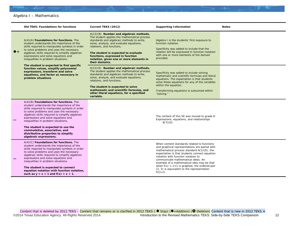|             | <b>Old TEKS: Foundations for functions</b>                                                                                                                                                                                                                                                                                                                                                                                                                                                                | Current TEKS (2012)                                                                                                                                                                                                                                                                                                                                   | <b>Supporting Information</b>                                                                                                                                                                                                                                                                                                                                                                                                       | <b>Notes</b> |
|-------------|-----------------------------------------------------------------------------------------------------------------------------------------------------------------------------------------------------------------------------------------------------------------------------------------------------------------------------------------------------------------------------------------------------------------------------------------------------------------------------------------------------------|-------------------------------------------------------------------------------------------------------------------------------------------------------------------------------------------------------------------------------------------------------------------------------------------------------------------------------------------------------|-------------------------------------------------------------------------------------------------------------------------------------------------------------------------------------------------------------------------------------------------------------------------------------------------------------------------------------------------------------------------------------------------------------------------------------|--------------|
| $\bullet$ + | A(4)(A) Foundations for functions. The<br>student understands the importance of the<br>skills required to manipulate symbols in order<br>to solve problems and uses the necessary<br>algebraic skills required to simplify algebraic<br>expressions and solve equations and<br>inequalities in problem situations.<br>The student is expected to find specific<br>function values, simplify polynomial<br>expressions, transform and solve<br>equations, and factor as necessary in<br>problem situations | A(12)(B) Number and algebraic methods.<br>The student applies the mathematical process<br>standards and algebraic methods to write,<br>solve, analyze, and evaluate equations,<br>relations, and functions.<br>The student is expected to evaluate<br>functions, expressed in function<br>notation, given one or more elements in<br>their domains.   | Algebra I is the students' first exposure to<br>function notation.<br>Specificity was added to include that the<br>relation will be expressed in function notation<br>with one or more elements of the domain<br>provided.                                                                                                                                                                                                          |              |
|             |                                                                                                                                                                                                                                                                                                                                                                                                                                                                                                           | $A(12)(E)$ Number and algebraic methods.<br>The student applies the mathematical process<br>standards and algebraic methods to write,<br>solve, analyze, and evaluate equations,<br>relations, and functions.<br>The student is expected to solve<br>mathematic and scientific formulas, and<br>other literal equations, for a specified<br>variable. | Specificity was added to include solving<br>mathematic and scientific formulas and literal<br>equations. The expectation is that students<br>solve these equations for any of the variables<br>within the equation.<br>Transforming equations is subsumed within<br>"solving."                                                                                                                                                      |              |
|             | $A(4)(B)$ Foundations for functions. The<br>student understands the importance of the<br>skills required to manipulate symbols in order<br>to solve problems and uses the necessary<br>algebraic skills required to simplify algebraic<br>expressions and solve equations and<br>inequalities in problem situations.<br>The student is expected to use the<br>commutative, associative, and<br>distributive properties to simplify<br>algebraic expressions.                                              |                                                                                                                                                                                                                                                                                                                                                       | The content of this SE was moved to grade 6:<br>Expressions, equations, and relationships<br>6(7)(D)                                                                                                                                                                                                                                                                                                                                |              |
|             | $A(4)(C)$ Foundations for functions. The<br>student understands the importance of the<br>skills required to manipulate symbols in order<br>to solve problems and uses the necessary<br>algebraic skills required to simplify algebraic<br>expressions and solve equations and<br>inequalities in problem situations.<br>The student is expected to connect<br>equation notation with function notation,<br>such as $y = x + 1$ and $f(x) = x + 1$ .                                                       |                                                                                                                                                                                                                                                                                                                                                       | When content standards related to functions<br>and graphical representations are paired with<br>mathematical process standard A(1)(D), the<br>expectation is that students connect equation<br>notation with function notation to<br>communicate mathematical ideas. An<br>example of a mathematical idea may be that<br>when $f(x) = x+1$ is graphed, the ordered pair<br>(2, 3) is equivalent to the representation<br>$f(2)=3$ . |              |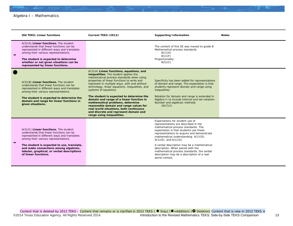| <b>Old TEKS: Linear functions</b>                                                                                                                                                                                                                                                                                                        | Current TEKS (2012)                                                                                                                                                                                                                                                                                                                                                                                                                                                                                                                                                                               | <b>Supporting Information</b>                                                                                                                                                                                                                                                                                                                                                                                                                                                 | <b>Notes</b> |
|------------------------------------------------------------------------------------------------------------------------------------------------------------------------------------------------------------------------------------------------------------------------------------------------------------------------------------------|---------------------------------------------------------------------------------------------------------------------------------------------------------------------------------------------------------------------------------------------------------------------------------------------------------------------------------------------------------------------------------------------------------------------------------------------------------------------------------------------------------------------------------------------------------------------------------------------------|-------------------------------------------------------------------------------------------------------------------------------------------------------------------------------------------------------------------------------------------------------------------------------------------------------------------------------------------------------------------------------------------------------------------------------------------------------------------------------|--------------|
| $A(5)(A)$ Linear functions. The student<br>understands that linear functions can be<br>represented in different ways and translates<br>among their various representations.<br>The student is expected to determine<br>whether or not given situations can be<br>represented by linear functions.                                        |                                                                                                                                                                                                                                                                                                                                                                                                                                                                                                                                                                                                   | The content of this SE was moved to grade 8:<br>Mathematical process standards<br>8(1)(A)<br>8(1)(F)<br>Proportionality<br>8(5)(C)                                                                                                                                                                                                                                                                                                                                            |              |
| $A(5)(B)$ Linear functions. The student<br>understands that linear functions can be<br>represented in different ways and translates<br>among their various representations.<br>The student is expected to determine the<br>domain and range for linear functions in<br>given situations.                                                 | $A(2)(A)$ Linear functions, equations, and<br>inequalities. The student applies the<br>mathematical process standards when using<br>properties of linear functions to write and<br>represent in multiple ways, with and without<br>technology, linear equations, inequalities, and<br>systems of equations.<br>The student is expected to determine the<br>domain and range of a linear function in<br>mathematical problems, determine<br>reasonable domain and range values for<br>real-world situations, both continuous<br>and discrete and represent domain and<br>range using inequalities. | Specificity has been added for representations<br>of domain and range. The expectation is that<br>students represent domain and range using<br>inequalities.<br>Notation for domain and range is extended in<br>Algebra II to include interval and set notation:<br>Number and algebraic methods<br>2A(7)(1)                                                                                                                                                                  |              |
| $A(5)(C)$ Linear functions. The student<br>understands that linear functions can be<br>represented in different ways and translates<br>among their various representations.<br>The student is expected to use, translate,<br>and make connections among algebraic,<br>tabular, graphical, or verbal descriptions<br>of linear functions. |                                                                                                                                                                                                                                                                                                                                                                                                                                                                                                                                                                                                   | Expectations for student use of<br>representations are described in the<br>mathematical process standards. The<br>expectation is that students use these<br>representations to acquire and demonstrate<br>mathematical understanding: A(1)(D),<br>$A(1)(E)$ , and $A(1)(G)$<br>A verbal description may be a mathematical<br>description. When paired with the<br>mathematical process standards, the verbal<br>description may be a description of a real-<br>world context. |              |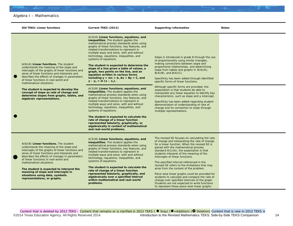

Content that is deleted by 2012 TEKS – Content that remains or is clarified in 2012 TEKS ( $\bullet$  Stay) ( $\bullet$  +Addition) ( $\bullet$  Deletion) Content that is new in 2012 TEKS + ©2014 Texas Education Agency. All Rights Reserved 2014. **Introduction to the Revised Mathematics TEKS: Side-by-Side TEKS Comparison** 14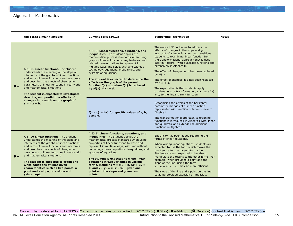|             | <b>Old TEKS: Linear Functions</b>                                                                                                                                                                                                                                                                                                                                                                                                                                                      | Current TEKS (2012)                                                                                                                                                                                                                                                                                                                                                                                                                                                                                                                         | <b>Supporting Information</b>                                                                                                                                                                                                                                                                                                                                                                                                                                                                                                                                                               | <b>Notes</b> |
|-------------|----------------------------------------------------------------------------------------------------------------------------------------------------------------------------------------------------------------------------------------------------------------------------------------------------------------------------------------------------------------------------------------------------------------------------------------------------------------------------------------|---------------------------------------------------------------------------------------------------------------------------------------------------------------------------------------------------------------------------------------------------------------------------------------------------------------------------------------------------------------------------------------------------------------------------------------------------------------------------------------------------------------------------------------------|---------------------------------------------------------------------------------------------------------------------------------------------------------------------------------------------------------------------------------------------------------------------------------------------------------------------------------------------------------------------------------------------------------------------------------------------------------------------------------------------------------------------------------------------------------------------------------------------|--------------|
| $\bullet$ + | $A(6)(C)$ Linear functions. The student<br>understands the meaning of the slope and<br>intercepts of the graphs of linear functions<br>and zeros of linear functions and interprets<br>and describes the effects of changes in<br>parameters of linear functions in real-world<br>and mathematical situations.<br>The student is expected to investigate,                                                                                                                              | $A(3)(E)$ Linear functions, equations, and<br>inequalities. The student applies the<br>mathematical process standards when using<br>graphs of linear functions, key features, and<br>related transformations to represent in<br>multiple ways and solve, with and without<br>technology, equations, inequalities, and<br>systems of equations.<br>The student is expected to determine the<br>effects on the graph of the parent<br>function $f(x) = x$ when $f(x)$ is replaced<br>by $af(x)$ , $f(x) + d$ ,                                | The revised SE continues to address the<br>effects of changes in the slope and y-<br>intercept of a linear function but transitions<br>students to examining linear function from<br>the transformational approach that is used<br>later in Algebra I with quadratic functions and<br>extensively in Algebra II.<br>The effect of changes in $m$ has been replaced<br>by $af(x)$ .<br>The effect of changes in b has been replaced<br>by $f(x) + d$ .<br>The expectation is that students apply<br>combinations of transformation, such as $af(x)$<br>$+$ d, to the linear parent function. |              |
|             | describe, and predict the effects of<br>changes in $m$ and $b$ on the graph of<br>$y = mx + b$ .                                                                                                                                                                                                                                                                                                                                                                                       | $f(x - c)$ , $f(bx)$ for specific values of a, b,<br>$c$ and $d$ .                                                                                                                                                                                                                                                                                                                                                                                                                                                                          | Recognizing the effects of the horizontal<br>parameter changes of a linear function<br>represented with function notation is new to<br>Algebra I.<br>The transformational approach to graphing<br>functions is introduced in Algebra I with linear<br>and quadratic and extended to additional<br>functions in Algebra II.                                                                                                                                                                                                                                                                  |              |
| $\bullet$ + | $A(6)(D)$ Linear functions. The student<br>understands the meaning of the slope and<br>intercepts of the graphs of linear functions<br>and zeros of linear functions and interprets<br>and describes the effects of changes in<br>parameters of linear functions in real-world<br>and mathematical situations.<br>The student is expected to graph and<br>write equations of lines given<br>characteristics such as two points, a<br>point and a slope, or a slope and<br>y-intercept. | $A(2)(B)$ Linear functions, equations, and<br>inequalities. The student applies the<br>mathematical process standards when using<br>properties of linear functions to write and<br>represent in multiple ways, with and without<br>technology, linear equations, inequalities, and<br>systems of equations.<br>The student is expected to write linear<br>equations in two variables in various<br>forms, including $y = mx + b$ , $Ax + By =$<br>C, and $y - y_1 = m(x - x_1)$ , given one<br>point and the slope and given two<br>points. | Specificity has been added regarding the<br>forms of linear equations.<br>When writing linear equations, students are<br>expected to use the form which makes the<br>most sense for the given information.<br>Students are also expected to be able to<br>manipulate the results to the other forms. For<br>example, when provided a point and the<br>slope of the line, using the form<br>$y - y_1 = m(x - x_1)$ may be more efficient.<br>The slope of the line and a point on the line<br>could be provided explicitly or implicitly.                                                    |              |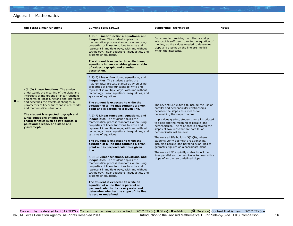

|             | <b>Old TEKS: Linear functions</b>                                                                                                                                                                                                                                                                                                                                                                                                                                                      | Current TEKS (2012)                                                                                                                                                                                                                                                                                                                                                                                                                                                                                                                                                                                                                                                                                                                                                                                                                                                                                                                                                                                                                                                                                                                                                                                                                                                                                                                                                                                      | <b>Supporting Information</b>                                                                                                                                                                                                                                                                                                                                                                                                                                                                                                                                                                                                                                                                                            | <b>Notes</b> |
|-------------|----------------------------------------------------------------------------------------------------------------------------------------------------------------------------------------------------------------------------------------------------------------------------------------------------------------------------------------------------------------------------------------------------------------------------------------------------------------------------------------|----------------------------------------------------------------------------------------------------------------------------------------------------------------------------------------------------------------------------------------------------------------------------------------------------------------------------------------------------------------------------------------------------------------------------------------------------------------------------------------------------------------------------------------------------------------------------------------------------------------------------------------------------------------------------------------------------------------------------------------------------------------------------------------------------------------------------------------------------------------------------------------------------------------------------------------------------------------------------------------------------------------------------------------------------------------------------------------------------------------------------------------------------------------------------------------------------------------------------------------------------------------------------------------------------------------------------------------------------------------------------------------------------------|--------------------------------------------------------------------------------------------------------------------------------------------------------------------------------------------------------------------------------------------------------------------------------------------------------------------------------------------------------------------------------------------------------------------------------------------------------------------------------------------------------------------------------------------------------------------------------------------------------------------------------------------------------------------------------------------------------------------------|--------------|
|             |                                                                                                                                                                                                                                                                                                                                                                                                                                                                                        | A(2)(C) Linear functions, equations, and<br>inequalities. The student applies the<br>mathematical process standards when using<br>properties of linear functions to write and<br>represent in multiple ways, with and without<br>technology, linear equations, inequalities, and<br>systems of equations.<br>The student is expected to write linear<br>equations in two variables given a table<br>of values, a graph, and a verbal<br>description.                                                                                                                                                                                                                                                                                                                                                                                                                                                                                                                                                                                                                                                                                                                                                                                                                                                                                                                                                     | For example, providing both the $x$ - and $y$ -<br>intercept is sufficient to write the equation of<br>the line, as the values needed to determine<br>slope and a point on the line are implicit<br>within the intercepts.                                                                                                                                                                                                                                                                                                                                                                                                                                                                                               |              |
| $\bullet$ + | $A(6)(D)$ Linear functions. The student<br>understands the meaning of the slope and<br>intercepts of the graphs of linear functions<br>and zeros of linear functions and interprets<br>and describes the effects of changes in<br>parameters of linear functions in real-world<br>and mathematical situations.<br>The student is expected to graph and<br>write equations of lines given<br>characteristics such as two points, a<br>point and a slope, or a slope and<br>y-intercept. | A(2)(E) Linear functions, equations, and<br>inequalities. The student applies the<br>mathematical process standards when using<br>properties of linear functions to write and<br>represent in multiple ways, with and without<br>technology, linear equations, inequalities, and<br>systems of equations.<br>The student is expected to write the<br>equation of a line that contains a given<br>point and is parallel to a given line.<br>$A(2)(F)$ Linear functions, equations, and<br>inequalities. The student applies the<br>mathematical process standards when using<br>properties of linear functions to write and<br>represent in multiple ways, with and without<br>technology, linear equations, inequalities, and<br>systems of equations.<br>The student is expected to write the<br>equation of a line that contains a given<br>point and is perpendicular to a given<br>line.<br>A(2)(G) Linear functions, equations, and<br>inequalities. The student applies the<br>mathematical process standards when using<br>properties of linear functions to write and<br>represent in multiple ways, with and without<br>technology, linear equations, inequalities, and<br>systems of equations.<br>The student is expected to write an<br>equation of a line that is parallel or<br>perpendicular to the x- or y-axis, and<br>determine whether the slope of the line<br>is zero or undefined. | The revised SEs extend to include the use of<br>parallel and perpendicular relationships<br>between the slopes as a means for<br>determining the slope of a line.<br>In previous grades, students were introduced<br>to slope and the meaning of parallel and<br>perpendicular. The relationship between the<br>slopes of two lines that are parallel or<br>perpendicular will be new.<br>The revised SEs build to $G(2)(B)$ , where<br>students verify geometric relationships,<br>including parallel and perpendicular lines of<br>geometric figures on a coordinate plane.<br>The revised SE explicitly states to include<br>lines parallel and perpendicular to lines with a<br>slope of zero or an undefined slope. |              |

Content that is deleted by 2012 TEKS – Content that remains or is clarified in 2012 TEKS ( ● Stay) (●+Addition) ( ● Deletion) Content that is new in 2012 TEKS + ©2014 Texas Education Agency. All Rights Reserved 2014. Introduction to the Revised Mathematics TEKS: Side-by-Side TEKS Comparison 16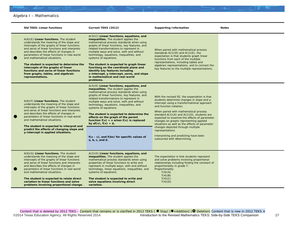|           | <b>Old TEKS: Linear functions</b>                                                                                                                                                                                                                                                                                                                                                                                                                                                                     | Current TEKS (2012)                                                                                                                                                                                                                                                                                                                                                                                                                                                                                                                                                                       | <b>Supporting Information</b>                                                                                                                                                                                                                                                                                                                                                                                                                                                                                                               | <b>Notes</b> |
|-----------|-------------------------------------------------------------------------------------------------------------------------------------------------------------------------------------------------------------------------------------------------------------------------------------------------------------------------------------------------------------------------------------------------------------------------------------------------------------------------------------------------------|-------------------------------------------------------------------------------------------------------------------------------------------------------------------------------------------------------------------------------------------------------------------------------------------------------------------------------------------------------------------------------------------------------------------------------------------------------------------------------------------------------------------------------------------------------------------------------------------|---------------------------------------------------------------------------------------------------------------------------------------------------------------------------------------------------------------------------------------------------------------------------------------------------------------------------------------------------------------------------------------------------------------------------------------------------------------------------------------------------------------------------------------------|--------------|
| $\bullet$ | $A(6)(E)$ Linear functions. The student<br>understands the meaning of the slope and<br>intercepts of the graphs of linear functions<br>and zeros of linear functions and interprets<br>and describes the effects of changes in<br>parameters of linear functions in real-world<br>and mathematical situations.<br>The student is expected to determine the<br>intercepts of the graphs of linear<br>functions and zeros of linear functions<br>from graphs, tables, and algebraic<br>representations. | $A(3)(C)$ Linear functions, equations, and<br><b>inequalities.</b> The student applies the<br>mathematical process standards when using<br>graphs of linear functions, key features, and<br>related transformations to represent in<br>multiple ways and solve, with and without<br>technology, equations, inequalities, and<br>systems of equations.<br>The student is expected to graph linear<br>functions on the coordinate plane and<br>identify key features including<br>x-intercept, y-intercept, zeros, and slope<br>in mathematical and real-world<br>problems.                 | When paired with mathematical process<br>standards $A(1)(D)$ and $A(1)(E)$ , the<br>expectation is that students graph linear<br>functions from each of the multiple<br>representations, including tables and<br>algebraic representations, and to connect the<br>key features to the multiple representations.                                                                                                                                                                                                                             |              |
| $\bullet$ | $A(6)(F)$ Linear functions. The student<br>understands the meaning of the slope and<br>intercepts of the graphs of linear functions<br>and zeros of linear functions and interprets<br>and describes the effects of changes in<br>parameters of linear functions in real-world<br>and mathematical situations.<br>The student is expected to interpret and<br>predict the effects of changing slope and<br>y-intercept in applied situations.                                                         | $A(3)(E)$ Linear functions, equations, and<br><b>inequalities.</b> The student applies the<br>mathematical process standards when using<br>graphs of linear functions, key features, and<br>related transformations to represent in<br>multiple ways and solve, with and without<br>technology, equations, inequalities, and<br>systems of equations.<br>The student is expected to determine the<br>effects on the graph of the parent<br>function $f(x) = x$ when $f(x)$ is replaced<br>by $af(x)$ , $f(x) + d$ ,<br>$f(x - c)$ , and $f(bx)$ for specific values of<br>a, b, c, and d. | With the revised SE, the expectation is that<br>students determine changes in slope and y-<br>intercept using a transformational approach<br>and function notation.<br>When paired with mathematical process<br>standard $A(1)(A)$ and $A(1)(D)$ , students are<br>expected to examine the effects of parameter<br>changes on graphs representing applied<br>situations as well as the effects of parameter<br>changes depicted through multiple<br>representations.<br>Interpreting and predicting have been<br>subsumed with determining. |              |
| $\bullet$ | $A(6)(G)$ Linear functions. The student<br>understands the meaning of the slope and<br>intercepts of the graphs of linear functions<br>and zeros of linear functions and interprets<br>and describes the effects of changes in<br>parameters of linear functions in real-world<br>and mathematical situations.<br>The student is expected to relate direct<br>variation to linear functions and solve<br>problems involving proportional change.                                                      | $A(2)(D)$ Linear functions, equations, and<br>inequalities. The student applies the<br>mathematical process standards when using<br>properties of linear functions to write and<br>represent in multiple ways, with and without<br>technology, linear equations, inequalities, and<br>systems of equations.<br>The student is expected to write and<br>solve equations involving direct<br>variation.                                                                                                                                                                                     | The expectation is that students represent<br>and solve problems involving proportional<br>relationships including finding the constant of<br>proportionality in grade 7:<br>Proportionality<br>7(4)(A)<br>7(4)(B)<br>7(4)(C)<br>7(4)(D)                                                                                                                                                                                                                                                                                                    |              |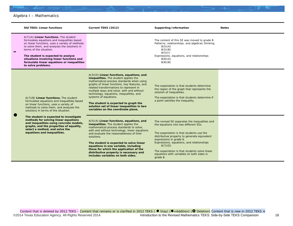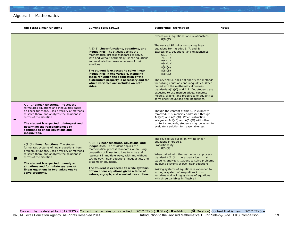| <b>Old TEKS: Linear functions</b>                                                                                                                                                                                                                                                                                                                         | Current TEKS (2012)                                                                                                                                                                                                                                                                                                                                                                                                                                                      | <b>Supporting Information</b>                                                                                                                                                                                                                                                                                                                                                                                                                                                                                                                                                                          | <b>Notes</b> |
|-----------------------------------------------------------------------------------------------------------------------------------------------------------------------------------------------------------------------------------------------------------------------------------------------------------------------------------------------------------|--------------------------------------------------------------------------------------------------------------------------------------------------------------------------------------------------------------------------------------------------------------------------------------------------------------------------------------------------------------------------------------------------------------------------------------------------------------------------|--------------------------------------------------------------------------------------------------------------------------------------------------------------------------------------------------------------------------------------------------------------------------------------------------------------------------------------------------------------------------------------------------------------------------------------------------------------------------------------------------------------------------------------------------------------------------------------------------------|--------------|
|                                                                                                                                                                                                                                                                                                                                                           | A(5)(B) Linear functions, equations, and<br>inequalities. The student applies the<br>mathematical process standards to solve,<br>with and without technology, linear equations<br>and evaluate the reasonableness of their<br>solutions.<br>The student is expected to solve linear<br>inequalities in one variable, including<br>those for which the application of the<br>distributive property is necessary and for<br>which variables are included on both<br>sides. | Expressions, equations, and relationships<br>8(8)(C)<br>The revised SE builds on solving linear<br>equations from grades 6, 7, and 8:<br>Expressions, equations, and relationships<br>6(10)(A)<br>7(10)(A)<br>7(10)(B)<br>7(10)(C)<br>8(8)(A)<br>8(8)(B)<br>8(8)(C)<br>The revised SE does not specify the methods<br>for solving equations and inequalities. When<br>paired with the mathematical process<br>standards $A(1)(C)$ and $A(1)(D)$ , students are<br>expected to use manipulatives, concrete<br>models, graphs, and properties of equality to<br>solve linear equations and inequalities. |              |
| $A(7)(C)$ Linear functions. The student<br>formulates equations and inequalities based<br>on linear functions, uses a variety of methods<br>to solve them, and analyzes the solutions in<br>terms of the situation.<br>The student is expected to interpret and<br>determine the reasonableness of<br>solutions to linear equations and<br>inequalities.  |                                                                                                                                                                                                                                                                                                                                                                                                                                                                          | Though the content of this SE is explicitly<br>removed, it is implicitly addressed through<br>$A(1)(B)$ and $A(1)(G)$ . When instruction<br>integrates $A(1)(B)$ and $A(1)(G)$ with other<br>content standards, students may be asked to<br>evaluate a solution for reasonableness.                                                                                                                                                                                                                                                                                                                    |              |
| $A(8)(A)$ Linear functions. The student<br>formulates systems of linear equations from<br>problem situations, uses a variety of methods<br>to solve them, and analyzes the solutions in<br>terms of the situation.<br>The student is expected to analyze<br>situations and formulate systems of<br>linear equations in two unknowns to<br>solve problems. | A(2)(I) Linear functions, equations, and<br>inequalities. The student applies the<br>mathematical process standards when using<br>properties of linear functions to write and<br>represent in multiple ways, with and without<br>technology, linear equations, inequalities, and<br>systems of equations.<br>The student is expected to write systems<br>of two linear equations given a table of<br>values, a graph, and a verbal description.                          | The revised SE builds on writing linear<br>equations in grade 8.<br>Proportionality<br>8(5)(1)<br>When paired with the mathematical process<br>standard $A(1)(A)$ , the expectation is that<br>students analyze situations to solve problems<br>involving systems of two linear equations.<br>Writing systems of equations is extended to<br>writing a system of inequalities in two<br>variables and writing systems of equations<br>with three variables in Algebra II.                                                                                                                              |              |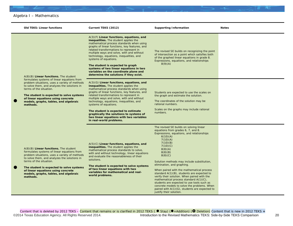

|                | <b>Old TEKS: Linear functions</b>                                                                                                                                                                                                                                                                                                                         | Current TEKS (2012)                                                                                                                                                                                                                                                                                                                                                                                                                                                                                           | <b>Supporting Information</b>                                                                                                                                                                                                                                                                                                                                                                                                                                                                                                                                                                                                                        | <b>Notes</b> |
|----------------|-----------------------------------------------------------------------------------------------------------------------------------------------------------------------------------------------------------------------------------------------------------------------------------------------------------------------------------------------------------|---------------------------------------------------------------------------------------------------------------------------------------------------------------------------------------------------------------------------------------------------------------------------------------------------------------------------------------------------------------------------------------------------------------------------------------------------------------------------------------------------------------|------------------------------------------------------------------------------------------------------------------------------------------------------------------------------------------------------------------------------------------------------------------------------------------------------------------------------------------------------------------------------------------------------------------------------------------------------------------------------------------------------------------------------------------------------------------------------------------------------------------------------------------------------|--------------|
|                | $A(8)(B)$ Linear functions. The student<br>formulates systems of linear equations from<br>problem situations, uses a variety of methods<br>to solve them, and analyzes the solutions in<br>terms of the situation.<br>The student is expected to solve systems<br>of linear equations using concrete<br>models, graphs, tables, and algebraic<br>methods. | A(3)(F) Linear functions, equations, and<br>inequalities. The student applies the<br>mathematical process standards when using<br>graphs of linear functions, key features, and<br>related transformations to represent in<br>multiple ways and solve, with and without<br>technology, equations, inequalities, and<br>systems of equations.<br>The student is expected to graph<br>systems of two linear equations in two<br>variables on the coordinate plane and<br>determine the solutions if they exist. | The revised SE builds on recognizing the point<br>of intersection as a point which satisfies both<br>of the graphed linear equations in grade 8.<br>Expressions, equations, and relationships<br>8(9)(A)                                                                                                                                                                                                                                                                                                                                                                                                                                             |              |
| $\bullet$      |                                                                                                                                                                                                                                                                                                                                                           | $A(3)(G)$ Linear functions, equations, and<br>inequalities. The student applies the<br>mathematical process standards when using<br>graphs of linear functions, key features, and<br>related transformations to represent in<br>multiple ways and solve, with and without<br>technology, equations, inequalities, and<br>systems of equations.<br>The student is expected to estimate<br>graphically the solutions to systems of<br>two linear equations with two variables<br>in real-world problems.        | Students are expected to use the scales on<br>the graph and estimate the solution.<br>The coordinates of the solution may be<br>rational numbers.<br>Scales on the graphs may include rational<br>numbers.                                                                                                                                                                                                                                                                                                                                                                                                                                           |              |
| $\blacksquare$ | $A(8)(B)$ Linear functions. The student<br>formulates systems of linear equations from<br>problem situations, uses a variety of methods<br>to solve them, and analyzes the solutions in<br>terms of the situation.<br>The student is expected to solve systems<br>of linear equations using concrete<br>models, graphs, tables, and algebraic<br>methods. | $A(5)(C)$ Linear functions, equations, and<br>inequalities. The student applies the<br>mathematical process standards to solve,<br>with and without technology, linear equations<br>and evaluate the reasonableness of their<br>solutions.<br>The student is expected to solve systems<br>of two linear equations with two<br>variables for mathematical and real-<br>world problems.                                                                                                                         | The revised SE builds on solving linear<br>equations from grades 6, 7, and 8.<br>Expressions, equations, and relationships<br>6(10)(A)<br>7(10)(A)<br>7(10)(B)<br>7(10)(C)<br>8(8)(A)<br>8(8)(B)<br>8(8)(C)<br>Solution methods may include substitution,<br>elimination, and graphing.<br>When paired with the mathematical process<br>standard A(1)(B), students are expected to<br>verify their solution. When paired with the<br>mathematical process standard A(1)(C),<br>students are expected to use tools such as<br>concrete models to solve the problems. When<br>paired with A(1)(G), students are expected to<br>justify their solution. |              |

Content that is deleted by 2012 TEKS – Content that remains or is clarified in 2012 TEKS ( ● Stay) (●+Addition) ( ● Deletion) Content that is new in 2012 TEKS + ©2014 Texas Education Agency. All Rights Reserved 2014. Introduction to the Revised Mathematics TEKS: Side-by-Side TEKS Comparison 20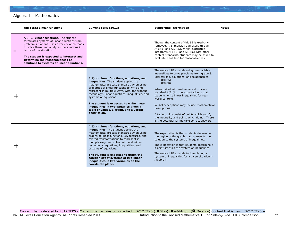

| <b>Old TEKS: Linear functions</b>                                                                                                                                                                                                                                                                                                              | Current TEKS (2012)                                                                                                                                                                                                                                                                                                                                                                                                                                                                        | <b>Supporting Information</b>                                                                                                                                                                                                                                                                                                                                                                                                                                                                                                                 | <b>Notes</b> |
|------------------------------------------------------------------------------------------------------------------------------------------------------------------------------------------------------------------------------------------------------------------------------------------------------------------------------------------------|--------------------------------------------------------------------------------------------------------------------------------------------------------------------------------------------------------------------------------------------------------------------------------------------------------------------------------------------------------------------------------------------------------------------------------------------------------------------------------------------|-----------------------------------------------------------------------------------------------------------------------------------------------------------------------------------------------------------------------------------------------------------------------------------------------------------------------------------------------------------------------------------------------------------------------------------------------------------------------------------------------------------------------------------------------|--------------|
| $A(8)(C)$ Linear functions. The student<br>formulates systems of linear equations from<br>problem situations, uses a variety of methods<br>to solve them, and analyzes the solutions in<br>terms of the situation.<br>The student is expected to interpret and<br>determine the reasonableness of<br>solutions to systems of linear equations. |                                                                                                                                                                                                                                                                                                                                                                                                                                                                                            | Though the content of this SE is explicitly<br>removed, it is implicitly addressed through<br>$A(1)(B)$ and $A(1)(G)$ . When instruction<br>integrates $A(1)(B)$ and $A(1)(G)$ with other<br>content standards, students may be asked to<br>evaluate a solution for reasonableness.                                                                                                                                                                                                                                                           |              |
|                                                                                                                                                                                                                                                                                                                                                | $A(2)(H)$ Linear functions, equations, and<br>inequalities. The student applies the<br>mathematical process standards when using<br>properties of linear functions to write and<br>represent in multiple ways, with and without<br>technology, linear equations, inequalities, and<br>systems of equations.<br>The student is expected to write linear<br>inequalities in two variables given a<br>table of values, a graph, and a verbal<br>description.                                  | The revised SE extends using one-variable<br>inequalities to solve problems from grade 8.<br>Expressions, equations, and relationships<br>8(8)(A)<br>8(8)(B)<br>When paired with mathematical process<br>standard $A(1)(A)$ , the expectation is that<br>students write linear inequalities for real-<br>world contexts.<br>Verbal descriptions may include mathematical<br>descriptions.<br>A table could consist of points which satisfy<br>the inequality and points which do not. There<br>is the potential for multiple correct answers. |              |
|                                                                                                                                                                                                                                                                                                                                                | A(3)(H) Linear functions, equations, and<br>inequalities. The student applies the<br>mathematical process standards when using<br>graphs of linear functions, key features, and<br>related transformations to represent in<br>multiple ways and solve, with and without<br>technology, equations, inequalities, and<br>systems of equations.<br>The student is expected to graph the<br>solution set of systems of two linear<br>inequalities in two variables on the<br>coordinate plane. | The expectation is that students determine<br>the region of the graph that represents the<br>solution to the systems of inequalities.<br>The expectation is that students determine if<br>a point satisfies the system of inequalities.<br>The revised SE extends to formulating a<br>system of inequalities for a given situation in<br>Algebra II.                                                                                                                                                                                          |              |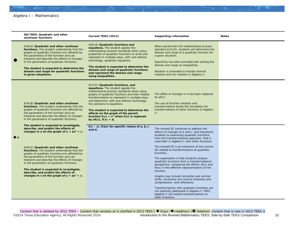|             | Old TEKS: Quadratic and other<br>nonlinear functions                                                                                                                                                                                                                                                                                                                                                                                                                                                                                                  | Current TEKS (2012)                                                                                                                                                                                                                                                                                                                                                                                                                                                   | <b>Supporting Information</b>                                                                                                                                                                                                                                                                                                                      | <b>Notes</b> |
|-------------|-------------------------------------------------------------------------------------------------------------------------------------------------------------------------------------------------------------------------------------------------------------------------------------------------------------------------------------------------------------------------------------------------------------------------------------------------------------------------------------------------------------------------------------------------------|-----------------------------------------------------------------------------------------------------------------------------------------------------------------------------------------------------------------------------------------------------------------------------------------------------------------------------------------------------------------------------------------------------------------------------------------------------------------------|----------------------------------------------------------------------------------------------------------------------------------------------------------------------------------------------------------------------------------------------------------------------------------------------------------------------------------------------------|--------------|
| O           | $A(9)(A)$ Quadratic and other nonlinear<br>functions. The student understands that the<br>graphs of quadratic functions are affected by<br>the parameters of the function and can<br>interpret and describe the effects of changes<br>in the parameters of quadratic functions.<br>The student is expected to determine the<br>domain and range for quadratic functions<br>in given situations.                                                                                                                                                       | $A(6)(A)$ Quadratic functions and<br>equations. The student applies the<br>mathematical process standards when using<br>properties of quadratic functions to write and<br>represent in multiple ways, with and without<br>technology, quadratic equations.<br>The student is expected to determine the<br>domain and range of quadratic functions<br>and represent the domain and range<br>using inequalities.                                                        | When paired with the mathematical process<br>standard $A(1)(A)$ , students will determine the<br>domain and range of a quadratic function for<br>a given situation.<br>Specificity has been provided with writing the<br>domain and range as inequalities.<br>Notation is extended to include interval<br>notation and set notation in Algebra II. |              |
|             | $A(9)(B)$ Quadratic and other nonlinear<br>functions. The student understands that the<br>graphs of quadratic functions are affected by<br>the parameters of the function and can<br>interpret and describe the effects of changes<br>in the parameters of quadratic functions.                                                                                                                                                                                                                                                                       | A(7)(C) Quadratic functions, and<br>equations. The student applies the<br>mathematical process standards when using<br>graphs of quadratic functions and their related<br>transformations to represent in multiple ways<br>and determine, with and without technology,<br>the solutions to equations.<br>The student is expected to determine the<br>effects on the graph of the parent<br>function $f(x) = x^2$ when $f(x)$ is replaced<br>by $af(x)$ , $f(x) + d$ , | The effect of changes in a has been replaced<br>by $af(x)$ .<br>The use of function notation and<br>transformations builds the foundation for<br>transformations of other functions in Algebra<br>Ш.                                                                                                                                               |              |
| $\bullet$ + | The student is expected to investigate,<br>describe, and predict the effects of<br>changes in a on the graph of $y = ax^2 + c$ .<br>A(9)(C) Quadratic and other nonlinear<br>functions. The student understands that the<br>graphs of quadratic functions are affected by<br>the parameters of the function and can<br>interpret and describe the effects of changes<br>in the parameters of quadratic functions.<br>The student is expected to investigate,<br>describe, and predict the effects of<br>changes in c on the graph of $y = ax^2 + c$ . | $f(x - c)$ , $f(bx)$ for specific values of $a, b, c$<br>and d.                                                                                                                                                                                                                                                                                                                                                                                                       | The revised SE continues to address the<br>effects of changes of a and c, and transitions<br>students to examining quadratic functions<br>from the transformational approach, that is<br>used later in Algebra II with other functions.                                                                                                            |              |
|             |                                                                                                                                                                                                                                                                                                                                                                                                                                                                                                                                                       |                                                                                                                                                                                                                                                                                                                                                                                                                                                                       | The revised SE is an extension of the current<br>SE related to transformations of quadratic<br>functions.                                                                                                                                                                                                                                          |              |
|             |                                                                                                                                                                                                                                                                                                                                                                                                                                                                                                                                                       |                                                                                                                                                                                                                                                                                                                                                                                                                                                                       | The expectation is that students analyze<br>quadratic functions from a transformational<br>perspective, comparing the effects af(x) and<br>f(bx) in the different representations of the<br>function.                                                                                                                                              |              |
|             |                                                                                                                                                                                                                                                                                                                                                                                                                                                                                                                                                       |                                                                                                                                                                                                                                                                                                                                                                                                                                                                       | Graphs may include horizontal and vertical<br>shifts, horizontal and vertical stretches and<br>compressions, and reflections.                                                                                                                                                                                                                      |              |
|             |                                                                                                                                                                                                                                                                                                                                                                                                                                                                                                                                                       |                                                                                                                                                                                                                                                                                                                                                                                                                                                                       | Transformations with quadratic functions are<br>not explicitly addressed in Algebra II TEKS.<br>Algebra II will extend transformations to<br>other functions.                                                                                                                                                                                      |              |

Content that is deleted by 2012 TEKS – Content that remains or is clarified in 2012 TEKS ( ● Stay) (●+Addition) ( ● Deletion) Content that is new in 2012 TEKS + ©2014 Texas Education Agency. All Rights Reserved 2014. Introduction to the Revised Mathematics TEKS: Side-by-Side TEKS Comparison 22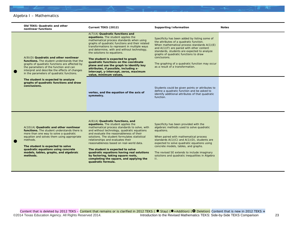| Old TEKS: Quadratic and other<br>nonlinear functions                                                                                                                                                                                                                                                                     | Current TEKS (2012)                                                                                                                                                                                                                                                                                                                                                                                                                                                                                                                          | <b>Supporting Information</b>                                                                                                                                                                                                                                                                                                                                                                      | <b>Notes</b> |
|--------------------------------------------------------------------------------------------------------------------------------------------------------------------------------------------------------------------------------------------------------------------------------------------------------------------------|----------------------------------------------------------------------------------------------------------------------------------------------------------------------------------------------------------------------------------------------------------------------------------------------------------------------------------------------------------------------------------------------------------------------------------------------------------------------------------------------------------------------------------------------|----------------------------------------------------------------------------------------------------------------------------------------------------------------------------------------------------------------------------------------------------------------------------------------------------------------------------------------------------------------------------------------------------|--------------|
| $A(9)(D)$ Quadratic and other nonlinear<br>functions. The student understands that the<br>graphs of quadratic functions are affected by<br>the parameters of the function and can<br>interpret and describe the effects of changes<br>in the parameters of quadratic functions.                                          | A(7)(A) Quadratic functions and<br>equations. The student applies the<br>mathematical process standards when using<br>graphs of quadratic functions and their related<br>transformations to represent in multiple ways<br>and determine, with and without technology,<br>the solutions to equations.<br>The student is expected to graph<br>quadratic functions on the coordinate<br>plane and use the graph to identify key<br>attributes, if possible, including x-<br>intercept, y-intercept, zeros, maximum<br>value, minimum values,    | Specificity has been added by listing some of<br>the attributes of a quadratic function.<br>When mathematical process standards A(1)(E)<br>and $A(1)(F)$ are paired with other content<br>standards, students are expected to analyze<br>graphs of quadratic functions to draw<br>conclusions.<br>The graphing of a quadratic function may occur<br>as a result of a transformation.               |              |
| The student is expected to analyze<br>graphs of quadratic functions and draw<br>conclusions.                                                                                                                                                                                                                             | vertex, and the equation of the axis of<br>symmetry.                                                                                                                                                                                                                                                                                                                                                                                                                                                                                         | Students could be given points or attributes to<br>define a quadratic function and be asked to<br>identify additional attributes of that quadratic<br>function.                                                                                                                                                                                                                                    |              |
| A(10)(A) Quadratic and other nonlinear<br>functions. The student understands there is<br>more than one way to solve a quadratic<br>equation and solves them using appropriate<br>methods.<br>The student is expected to solve<br>quadratic equations using concrete<br>models, tables, graphs, and algebraic<br>methods. | A(8)(A) Quadratic functions, and<br>equations. The student applies the<br>mathematical process standards to solve, with<br>and without technology, quadratic equations<br>and evaluate the reasonableness of their<br>solutions. The student formulates statistical<br>relationships and evaluates their<br>reasonableness based on real-world data.<br>The student is expected to solve<br>quadratic equations having real solutions<br>by factoring, taking square roots,<br>completing the square, and applying the<br>quadratic formula. | Specificity has been provided with the<br>algebraic methods used to solve quadratic<br>equations.<br>When paired with mathematical process<br>standards $A(1)(C)$ and $A(1)(D)$ , students are<br>expected to solve quadratic equations using<br>concrete models, tables, and graphs.<br>The revised SE extends to include imaginary<br>solutions and quadratic inequalities in Algebra<br>$\Pi$ . |              |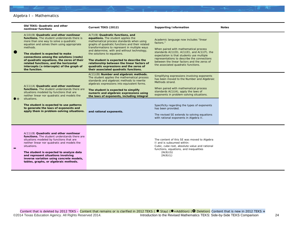|             | <b>Old TEKS: Quadratic and other</b><br>nonlinear functions                                                                                                                                                                                                                                                                                                                                                                  | Current TEKS (2012)                                                                                                                                                                                                                                                                                                                                                                                                                                                               | <b>Supporting Information</b>                                                                                                                                                                                                                                                                                                                                                                               | <b>Notes</b> |
|-------------|------------------------------------------------------------------------------------------------------------------------------------------------------------------------------------------------------------------------------------------------------------------------------------------------------------------------------------------------------------------------------------------------------------------------------|-----------------------------------------------------------------------------------------------------------------------------------------------------------------------------------------------------------------------------------------------------------------------------------------------------------------------------------------------------------------------------------------------------------------------------------------------------------------------------------|-------------------------------------------------------------------------------------------------------------------------------------------------------------------------------------------------------------------------------------------------------------------------------------------------------------------------------------------------------------------------------------------------------------|--------------|
| $\bullet$   | A(10)(B) Quadratic and other nonlinear<br>functions. The student understands there is<br>more than one way to solve a quadratic<br>equation and solves them using appropriate<br>methods.<br>The student is expected to make<br>connections among the solutions (roots)<br>of quadratic equations, the zeros of their<br>related functions, and the horizontal<br>intercepts (x-intercepts) of the graph of<br>the function. | A(7)(B) Quadratic functions, and<br>equations. The student applies the<br>mathematical process standards when using<br>graphs of quadratic functions and their related<br>transformations to represent in multiple ways<br>and determine, with and without technology,<br>the solutions to equations.<br>The student is expected to describe the<br>relationship between the linear factors of<br>quadratic expressions and the zeros of<br>their associated quadratic functions. | Academic language now includes "linear<br>factors."<br>When paired with mathematical process<br>standards $A(1)(D)$ , $A(1)(E)$ , and $A(1)(F)$ , the<br>expectation is that students use multiple<br>representations to describe the connections<br>between the linear factors and the zeros of<br>the associated quadratic functions.                                                                     |              |
| $\bullet$ + | A(11)(A) Quadratic and other nonlinear<br>functions. The student understands there are<br>situations modeled by functions that are<br>neither linear nor quadratic and models the<br>situations.<br>The student is expected to use patterns<br>to generate the laws of exponents and<br>apply them in problem-solving situations.                                                                                            | A(11)(B) Number and algebraic methods.<br>The student applies the mathematical process<br>standards and algebraic methods to rewrite<br>algebraic expressions into equivalent forms.<br>The student is expected to simplify<br>numeric and algebraic expressions using<br>the laws of exponents, including integral<br>and rational exponents.                                                                                                                                    | Simplifying expressions involving exponents<br>has been moved to the Number and Algebraic<br>Methods strand.<br>When paired with mathematical process<br>standards $A(1)(A)$ , apply the laws of<br>exponents in problem-solving situations.<br>Specificity regarding the types of exponents<br>has been provided.<br>The revised SE extends to solving equations<br>with rational exponents in Algebra II. |              |
|             | A(11)(B) Quadratic and other nonlinear<br>functions. The student understands there are<br>situations modeled by functions that are<br>neither linear nor quadratic and models the                                                                                                                                                                                                                                            |                                                                                                                                                                                                                                                                                                                                                                                                                                                                                   | The content of this SE was moved to Algebra<br>II and is subsumed within:                                                                                                                                                                                                                                                                                                                                   |              |

**The student is expected to analyze data and represent situations involving inverse variation using concrete models, tables, graphs, or algebraic methods.**

**–**

situations.

II and is subsumed within: *Cubic, cube root, absolute value and rational functions, equations, and inequalities* 2A(6)(G)  $2A(6)(L)$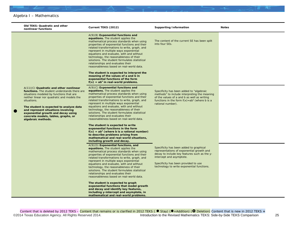|           | Old TEKS: Quadratic and other<br>nonlinear functions                                                                                                                                                                                                                                                                                                                                   | Current TEKS (2012)                                                                                                                                                                                                                                                                                                                                                                                                                                                                                                                                                                                                                                                                                                                | <b>Supporting Information</b>                                                                                                                                                                                                                          | <b>Notes</b> |
|-----------|----------------------------------------------------------------------------------------------------------------------------------------------------------------------------------------------------------------------------------------------------------------------------------------------------------------------------------------------------------------------------------------|------------------------------------------------------------------------------------------------------------------------------------------------------------------------------------------------------------------------------------------------------------------------------------------------------------------------------------------------------------------------------------------------------------------------------------------------------------------------------------------------------------------------------------------------------------------------------------------------------------------------------------------------------------------------------------------------------------------------------------|--------------------------------------------------------------------------------------------------------------------------------------------------------------------------------------------------------------------------------------------------------|--------------|
|           |                                                                                                                                                                                                                                                                                                                                                                                        | $A(9)(B)$ Exponential functions and<br>equations. The student applies the<br>mathematical process standards when using<br>properties of exponential functions and their<br>related transformations to write, graph, and<br>represent in multiple ways exponential<br>equations and evaluate, with and without<br>technology, the reasonableness of their<br>solutions. The student formulates statistical<br>relationships and evaluates their<br>reasonableness based on real-world data.<br>The student is expected to interpret the<br>meaning of the values of a and b in<br>exponential functions of the form<br>$f(x) = ab^x$ in real-world problems.                                                                        | The content of the current SE has been split<br>into four SEs.                                                                                                                                                                                         |              |
| $\bullet$ | $A(11)(C)$ Quadratic and other nonlinear<br>functions. The student understands there are<br>situations modeled by functions that are<br>neither linear nor quadratic and models the<br>situations.<br>The student is expected to analyze data<br>and represent situations involving<br>exponential growth and decay using<br>concrete models, tables, graphs, or<br>algebraic methods. | $A(9)(C)$ Exponential functions and<br>equations. The student applies the<br>mathematical process standards when using<br>properties of exponential functions and their<br>related transformations to write, graph, and<br>represent in multiple ways exponential<br>equations and evaluate, with and without<br>technology, the reasonableness of their<br>solutions. The student formulates statistical<br>relationships and evaluates their<br>reasonableness based on real-world data.<br>The student is expected to write<br>exponential functions in the form<br>$f(x) = ab^x$ (where b is a rational number)<br>to describe problems arising from<br>mathematical and real-world situations,<br>including growth and decay. | Specificity has been added to "algebraic<br>methods" to include interpreting the meaning<br>of the values of $a$ and $b$ as well as writing<br>functions in the form $f(x) = ab^x$ (where b is a<br>rational number).                                  |              |
|           |                                                                                                                                                                                                                                                                                                                                                                                        | $A(9)(D)$ Exponential functions, and<br>equations. The student applies the<br>mathematical process standards when using<br>properties of exponential functions and their<br>related transformations to write, graph, and<br>represent in multiple ways exponential<br>equations and evaluate, with and without<br>technology, the reasonableness of their<br>solutions. The student formulates statistical<br>relationships and evaluates their<br>reasonableness based on real-world data.<br>The student is expected to graph<br>exponential functions that model growth<br>and decay and identify key features,<br>including y-intercept and asymptote, in<br>mathematical and real-world problems.                             | Specificity has been added to graphical<br>representations of exponential growth and<br>decay to include key features such as the y-<br>intercept and asymptote.<br>Specificity has been provided to use<br>technology to write exponential functions. |              |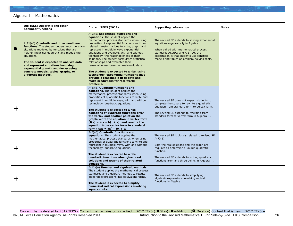|   | <b>Old TEKS: Quadratic and other</b><br>nonlinear functions                                                                                                                                                                                                                                                                                                                          | Current TEKS (2012)                                                                                                                                                                                                                                                                                                                                                                                                                                                                                                                                                                                                                                                     | <b>Supporting Information</b>                                                                                                                                                                                                                                           | <b>Notes</b> |
|---|--------------------------------------------------------------------------------------------------------------------------------------------------------------------------------------------------------------------------------------------------------------------------------------------------------------------------------------------------------------------------------------|-------------------------------------------------------------------------------------------------------------------------------------------------------------------------------------------------------------------------------------------------------------------------------------------------------------------------------------------------------------------------------------------------------------------------------------------------------------------------------------------------------------------------------------------------------------------------------------------------------------------------------------------------------------------------|-------------------------------------------------------------------------------------------------------------------------------------------------------------------------------------------------------------------------------------------------------------------------|--------------|
| Œ | A(11)(C) Quadratic and other nonlinear<br>functions. The student understands there are<br>situations modeled by functions that are<br>neither linear nor quadratic and models the<br>situations.<br>The student is expected to analyze data<br>and represent situations involving<br>exponential growth and decay using<br>concrete models, tables, graphs, or<br>algebraic methods. | $A(9)(E)$ Exponential functions and<br>equations. The student applies the<br>mathematical process standards when using<br>properties of exponential functions and their<br>related transformations to write, graph, and<br>represent in multiple ways exponential<br>equations and evaluate, with and without<br>technology, the reasonableness of their<br>solutions. The student formulates statistical<br>relationships and evaluates their<br>reasonableness based on real-world data.<br>The student is expected to write, using<br>technology, exponential functions that<br>provide a reasonable fit to data and<br>make predictions for real-world<br>problems. | The revised SE extends to solving exponential<br>equations algebraically in Algebra II.<br>When paired with mathematical process<br>standards $A(1)(C)$ and $A(1)(D)$ , the<br>expectation is that students use concrete<br>models and tables as problem-solving tools. |              |
|   |                                                                                                                                                                                                                                                                                                                                                                                      | A(6)(B) Quadratic functions and<br>equations. The student applies the<br>mathematical process standards when using<br>properties of quadratic functions to write and<br>represent in multiple ways, with and without<br>technology, quadratic equations.<br>The student is expected to write<br>equations of quadratic functions given<br>the vertex and another point on the<br>graph, write the equation in vertex form<br>$(f(x) = a(x - h)^2 + k)$ , and rewrite the<br>equation from vertex form to standard<br>form $(f(x) = ax^2 + bx + c)$ .                                                                                                                    | The revised SE does not expect students to<br>complete the square to rewrite a quadratic<br>equation from standard form to vertex form.<br>The revised SE extends to rewriting from<br>standard form to vertex form in Algebra II.                                      |              |
|   |                                                                                                                                                                                                                                                                                                                                                                                      | A(6)(C) Quadratic functions and<br>equations. The student applies the<br>mathematical process standards when using<br>properties of quadratic functions to write and<br>represent in multiple ways, with and without<br>technology, quadratic equations.<br>The student is expected to write<br>quadratic functions when given real<br>solutions and graphs of their related<br>equations.                                                                                                                                                                                                                                                                              | The revised SE is closely related to revised SE<br>$A(7)(B)$ .<br>Both the real solutions and the graph are<br>required to determine a unique quadratic<br>function.<br>The revised SE extends to writing quadratic<br>functions from any three points in Algebra II.   |              |
|   |                                                                                                                                                                                                                                                                                                                                                                                      | A(11)(A) Number and algebraic methods.<br>The student applies the mathematical process<br>standards and algebraic methods to rewrite<br>algebraic expressions into equivalent forms.<br>The student is expected to simplify<br>numerical radical expressions involving<br>square roots.                                                                                                                                                                                                                                                                                                                                                                                 | The revised SE extends to simplifying<br>algebraic expressions involving radical<br>functions in Algebra II.                                                                                                                                                            |              |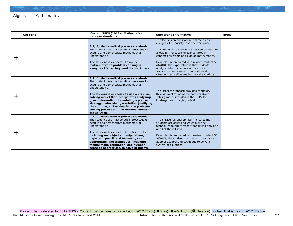| <b>Old TEKS</b> | Current TEKS (2012): Mathematical<br>process standards                                                                                                                                                                                                                                        | <b>Supporting Information</b>                                                                                                                                                                                                     | <b>Notes</b> |
|-----------------|-----------------------------------------------------------------------------------------------------------------------------------------------------------------------------------------------------------------------------------------------------------------------------------------------|-----------------------------------------------------------------------------------------------------------------------------------------------------------------------------------------------------------------------------------|--------------|
|                 | A(1)(A) Mathematical process standards.                                                                                                                                                                                                                                                       | The focus is on application in three areas:<br>everyday life, society, and the workplace.                                                                                                                                         |              |
|                 | The student uses mathematical processes to<br>acquire and demonstrate mathematical<br>understanding.                                                                                                                                                                                          | This SE, when paired with a revised content SE,<br>allows for increased relevance through<br>connections within and outside mathematics.                                                                                          |              |
|                 | The student is expected to apply<br>mathematics to problems arising in<br>everyday life, society, and the workplace.                                                                                                                                                                          | Example: When paired with revised content SE<br>$A(4)(B)$ , the expectation is that students<br>analyze data to compare and contrast<br>association and causation in real-world<br>situations as well as mathematical situations. |              |
|                 | A(1)(B) Mathematical process standards.<br>The student uses mathematical processes to<br>acquire and demonstrate mathematical<br>understanding.                                                                                                                                               | This process standard provides continuity                                                                                                                                                                                         |              |
|                 | The student is expected to use a problem-<br>solving model that incorporates analyzing<br>given information, formulating a plan or<br>strategy, determining a solution, justifying<br>the solution, and evaluating the problem-<br>solving process and the reasonableness of<br>the solution. | through application of the same problem-<br>solving model included in the TEKS for<br>kindergarten through grade 8.                                                                                                               |              |
|                 | A(1)(C) Mathematical process standards.<br>The student uses mathematical processes to<br>acquire and demonstrate mathematical<br>understanding.                                                                                                                                               | The phrase "as appropriate" indicates that<br>students are assessing which tool and<br>techniques to apply rather than trying only one<br>or all of those listed.                                                                 |              |
|                 | The student is expected to select tools,<br>including real objects, manipulatives,<br>paper and pencil, and technology as<br>appropriate, and techniques, including<br>mental math, estimation, and number<br>sense as appropriate, to solve problems.                                        | Example: When paired with revised content SE<br>$A(5)(C)$ , the student is expected to choose an<br>appropriate tool and technique to solve a<br>system of equations.                                                             |              |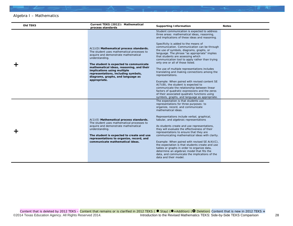| <b>Old TEKS</b> | Current TEKS (2012): Mathematical<br>process standards                                                                                                                                                                                                                                                                                                           | <b>Supporting Information</b>                                                                                                                                                                                                                                                                                                                                                                                                                                                                                                                                                                                                                                                                                                                                                                                                                                                 | <b>Notes</b> |
|-----------------|------------------------------------------------------------------------------------------------------------------------------------------------------------------------------------------------------------------------------------------------------------------------------------------------------------------------------------------------------------------|-------------------------------------------------------------------------------------------------------------------------------------------------------------------------------------------------------------------------------------------------------------------------------------------------------------------------------------------------------------------------------------------------------------------------------------------------------------------------------------------------------------------------------------------------------------------------------------------------------------------------------------------------------------------------------------------------------------------------------------------------------------------------------------------------------------------------------------------------------------------------------|--------------|
|                 | A(1)(D) Mathematical process standards.<br>The student uses mathematical processes to<br>acquire and demonstrate mathematical<br>understanding.<br>The student is expected to communicate<br>mathematical ideas, reasoning, and their<br>implications using multiple<br>representations, including symbols,<br>diagrams, graphs, and language as<br>appropriate. | Student communication is expected to address<br>three areas: mathematical ideas, reasoning,<br>and implications of these ideas and reasoning.<br>Specificity is added to the means of<br>communication. Communication can be through<br>the use of symbols, diagrams, graphs, or<br>language. The phrase "as appropriate" implies<br>that students are assessing which<br>communication tool to apply rather than trying<br>only one or all of those listed.<br>The use of multiple representations includes<br>translating and making connections among the<br>representations.<br>Example: When paired with revised content SE<br>$A(7)(B)$ , the student is expected to<br>communicate the relationship between linear<br>factors of quadratic expressions and the zeros<br>of their associated quadratic functions using<br>symbols, graphs, and language as appropriate. |              |
|                 | A(1)(E) Mathematical process standards.<br>The student uses mathematical processes to<br>acquire and demonstrate mathematical<br>understanding.<br>The student is expected to create and use<br>representations to organize, record, and<br>communicate mathematical ideas.                                                                                      | The expectation is that students use<br>representations for three purposes: to<br>organize, record, and communicate<br>mathematical ideas.<br>Representations include verbal, graphical,<br>tabular, and algebraic representations<br>As students create and use representations,<br>they will evaluate the effectiveness of their<br>representations to ensure that they are<br>communicating mathematical ideas with clarity.<br>Example: When paired with revised SE A(4)(C),<br>the expectation is that students create and use<br>tables or graphs in order to organize data,<br>determine an algebraic model that fits the<br>data, and communicate the implications of the<br>data and their model.                                                                                                                                                                    |              |